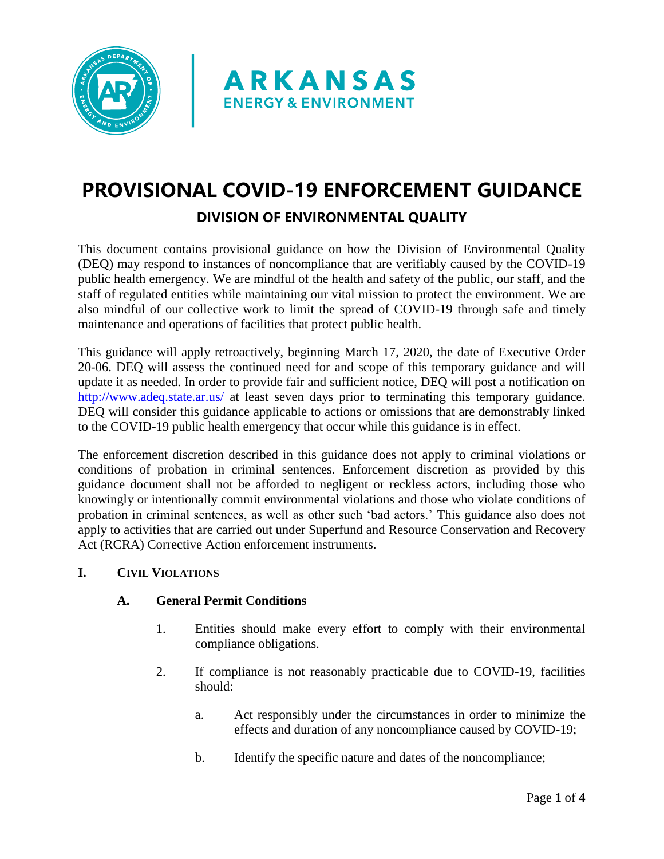



# **PROVISIONAL COVID-19 ENFORCEMENT GUIDANCE DIVISION OF ENVIRONMENTAL QUALITY**

This document contains provisional guidance on how the Division of Environmental Quality (DEQ) may respond to instances of noncompliance that are verifiably caused by the COVID-19 public health emergency. We are mindful of the health and safety of the public, our staff, and the staff of regulated entities while maintaining our vital mission to protect the environment. We are also mindful of our collective work to limit the spread of COVID-19 through safe and timely maintenance and operations of facilities that protect public health.

This guidance will apply retroactively, beginning March 17, 2020, the date of Executive Order 20-06. DEQ will assess the continued need for and scope of this temporary guidance and will update it as needed. In order to provide fair and sufficient notice, DEQ will post a notification on <http://www.adeq.state.ar.us/> at least seven days prior to terminating this temporary guidance. DEQ will consider this guidance applicable to actions or omissions that are demonstrably linked to the COVID-19 public health emergency that occur while this guidance is in effect.

The enforcement discretion described in this guidance does not apply to criminal violations or conditions of probation in criminal sentences. Enforcement discretion as provided by this guidance document shall not be afforded to negligent or reckless actors, including those who knowingly or intentionally commit environmental violations and those who violate conditions of probation in criminal sentences, as well as other such 'bad actors.' This guidance also does not apply to activities that are carried out under Superfund and Resource Conservation and Recovery Act (RCRA) Corrective Action enforcement instruments.

## **I. CIVIL VIOLATIONS**

## **A. General Permit Conditions**

- 1. Entities should make every effort to comply with their environmental compliance obligations.
- 2. If compliance is not reasonably practicable due to COVID-19, facilities should:
	- a. Act responsibly under the circumstances in order to minimize the effects and duration of any noncompliance caused by COVID-19;
	- b. Identify the specific nature and dates of the noncompliance;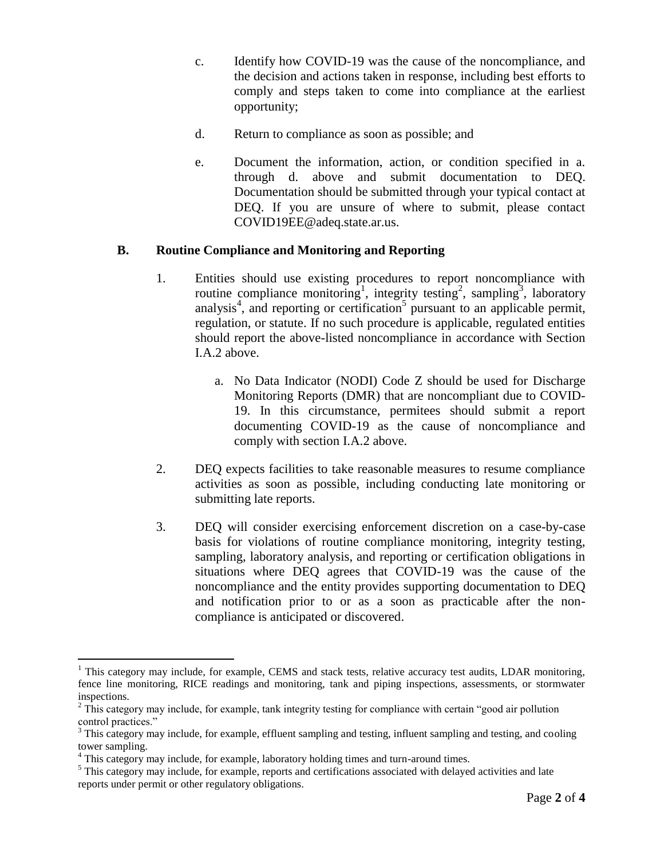- c. Identify how COVID-19 was the cause of the noncompliance, and the decision and actions taken in response, including best efforts to comply and steps taken to come into compliance at the earliest opportunity;
- d. Return to compliance as soon as possible; and
- e. Document the information, action, or condition specified in a. through d. above and submit documentation to DEQ. Documentation should be submitted through your typical contact at DEQ. If you are unsure of where to submit, please contact COVID19EE@adeq.state.ar.us.

#### **B. Routine Compliance and Monitoring and Reporting**

- 1. Entities should use existing procedures to report noncompliance with routine compliance monitoring<sup>1</sup>, integrity testing<sup>2</sup>, sampling<sup>3</sup>, laboratory analysis<sup>4</sup>, and reporting or certification<sup>5</sup> pursuant to an applicable permit, regulation, or statute. If no such procedure is applicable, regulated entities should report the above-listed noncompliance in accordance with Section I.A.2 above.
	- a. No Data Indicator (NODI) Code Z should be used for Discharge Monitoring Reports (DMR) that are noncompliant due to COVID-19. In this circumstance, permitees should submit a report documenting COVID-19 as the cause of noncompliance and comply with section I.A.2 above.
- 2. DEQ expects facilities to take reasonable measures to resume compliance activities as soon as possible, including conducting late monitoring or submitting late reports.
- 3. DEQ will consider exercising enforcement discretion on a case-by-case basis for violations of routine compliance monitoring, integrity testing, sampling, laboratory analysis, and reporting or certification obligations in situations where DEQ agrees that COVID-19 was the cause of the noncompliance and the entity provides supporting documentation to DEQ and notification prior to or as a soon as practicable after the noncompliance is anticipated or discovered.

 $\overline{a}$ 

 $<sup>1</sup>$  This category may include, for example, CEMS and stack tests, relative accuracy test audits, LDAR monitoring,</sup> fence line monitoring, RICE readings and monitoring, tank and piping inspections, assessments, or stormwater inspections.

<sup>&</sup>lt;sup>2</sup> This category may include, for example, tank integrity testing for compliance with certain "good air pollution control practices."

<sup>&</sup>lt;sup>3</sup> This category may include, for example, effluent sampling and testing, influent sampling and testing, and cooling tower sampling.

<sup>&</sup>lt;sup>4</sup> This category may include, for example, laboratory holding times and turn-around times.

<sup>&</sup>lt;sup>5</sup> This category may include, for example, reports and certifications associated with delayed activities and late reports under permit or other regulatory obligations.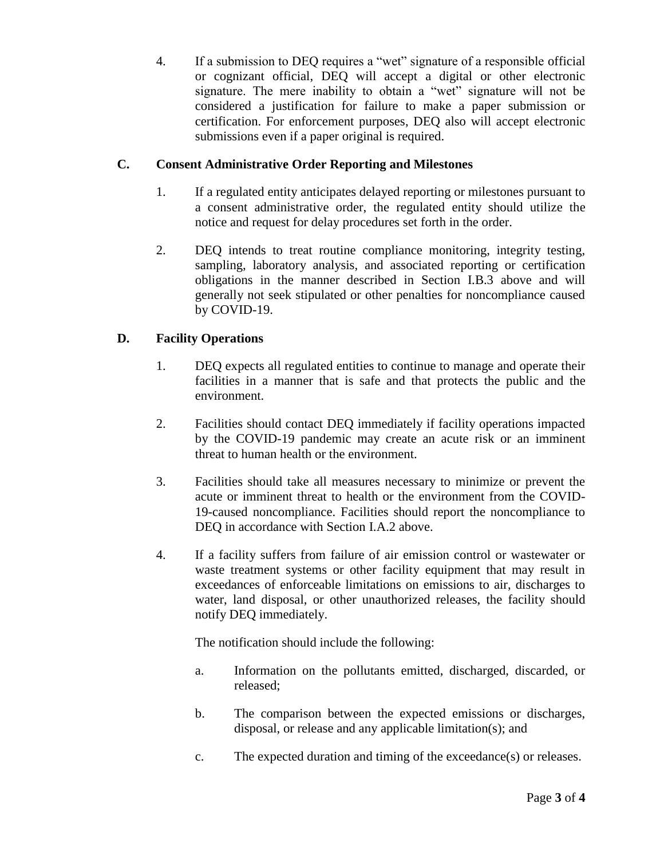4. If a submission to DEQ requires a "wet" signature of a responsible official or cognizant official, DEQ will accept a digital or other electronic signature. The mere inability to obtain a "wet" signature will not be considered a justification for failure to make a paper submission or certification. For enforcement purposes, DEQ also will accept electronic submissions even if a paper original is required.

## **C. Consent Administrative Order Reporting and Milestones**

- 1. If a regulated entity anticipates delayed reporting or milestones pursuant to a consent administrative order, the regulated entity should utilize the notice and request for delay procedures set forth in the order.
- 2. DEQ intends to treat routine compliance monitoring, integrity testing, sampling, laboratory analysis, and associated reporting or certification obligations in the manner described in Section I.B.3 above and will generally not seek stipulated or other penalties for noncompliance caused by COVID-19.

## **D. Facility Operations**

- 1. DEQ expects all regulated entities to continue to manage and operate their facilities in a manner that is safe and that protects the public and the environment.
- 2. Facilities should contact DEQ immediately if facility operations impacted by the COVID-19 pandemic may create an acute risk or an imminent threat to human health or the environment.
- 3. Facilities should take all measures necessary to minimize or prevent the acute or imminent threat to health or the environment from the COVID-19-caused noncompliance. Facilities should report the noncompliance to DEO in accordance with Section I.A.2 above.
- 4. If a facility suffers from failure of air emission control or wastewater or waste treatment systems or other facility equipment that may result in exceedances of enforceable limitations on emissions to air, discharges to water, land disposal, or other unauthorized releases, the facility should notify DEQ immediately.

The notification should include the following:

- a. Information on the pollutants emitted, discharged, discarded, or released;
- b. The comparison between the expected emissions or discharges, disposal, or release and any applicable limitation(s); and
- c. The expected duration and timing of the exceedance(s) or releases.